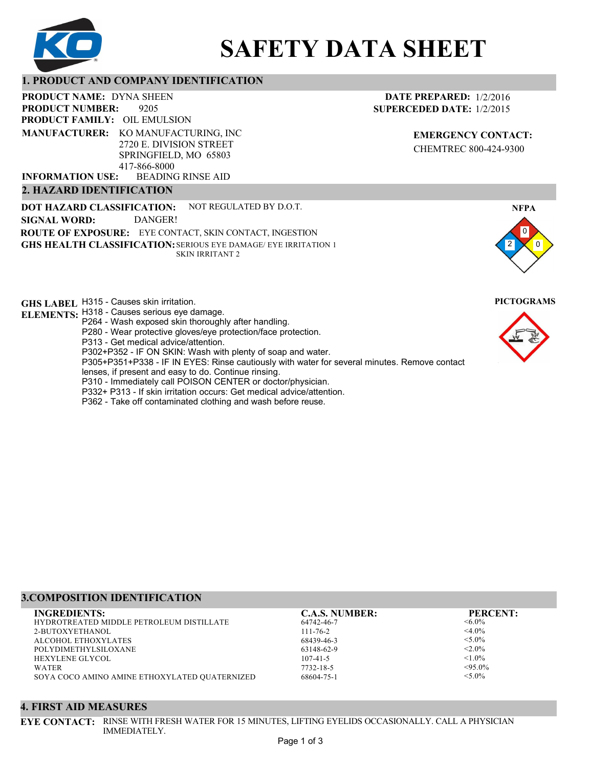

# **SAFETY DATA SHEET**

## **1. PRODUCT AND COMPANY IDENTIFICATION**

9205 **PRODUCT NAME: DYNA SHEEN PRODUCT FAMILY: OIL EMULSION** BEADING RINSE AID **PRODUCT NUMBER: MANUFACTURER:** KO MANUFACTURING, INC 2720 E. DIVISION STREET SPRINGFIELD, MO 65803 417-866-8000 **INFORMATION USE:**

## **2. HAZARD IDENTIFICATION**

**DOT HAZARD CLASSIFICATION: GHS HEALTH CLASSIFICATION:** SERIOUS EYE DAMAGE/ EYE IRRITATION 1 **ROUTE OF EXPOSURE:** EYE CONTACT, SKIN CONTACT, INGESTION NOT REGULATED BY D.O.T. SKIN IRRITANT 2 **SIGNAL WORD:** DANGER!

**GHS LABEL**  H315 - Causes skin irritation. **PICTOGRAMS**

- **ELEMENTS:** H318 Causes serious eye damage. P264 - Wash exposed skin thoroughly after handling.
	- P280 Wear protective gloves/eye protection/face protection.
	- P313 Get medical advice/attention.
	- P302+P352 IF ON SKIN: Wash with plenty of soap and water.

P305+P351+P338 - IF IN EYES: Rinse cautiously with water for several minutes. Remove contact

- lenses, if present and easy to do. Continue rinsing.
- P310 Immediately call POISON CENTER or doctor/physician.
- P332+ P313 If skin irritation occurs: Get medical advice/attention.
- P362 Take off contaminated clothing and wash before reuse.

## **3.COMPOSITION IDENTIFICATION**

**4. FIRST AID MEASURES**

HYDROTREATED MIDDLE PETROLEUM DISTILLATE 2-BUTOXYETHANOL ALCOHOL ETHOXYLATES POLYDIMETHYLSILOXANE HEXYLENE GLYCOL WATER SOYA COCO AMINO AMINE ETHOXYLATED QUATERNIZED **INGREDIENTS: C.A.S. NUMBER: PERCENT:**

IMMEDIATELY.

64742-46-7 111-76-2 68439-46-3 63148-62-9 107-41-5 7732-18-5 68604-75-1

 $< 6.0\%$  $<$ 4.0%  $< 5.0\%$  $< 2.0\%$  $< 1.0\%$  $<95.0\%$  $< 5.0\%$ 

0 0

**NFPA**

2



**DATE PREPARED:** 1/2/2016 **SUPERCEDED DATE:** 1/2/2015

> **EMERGENCY CONTACT:** CHEMTREC 800-424-9300

**EYE CONTACT:** RINSE WITH FRESH WATER FOR 15 MINUTES, LIFTING EYELIDS OCCASIONALLY. CALL A PHYSICIAN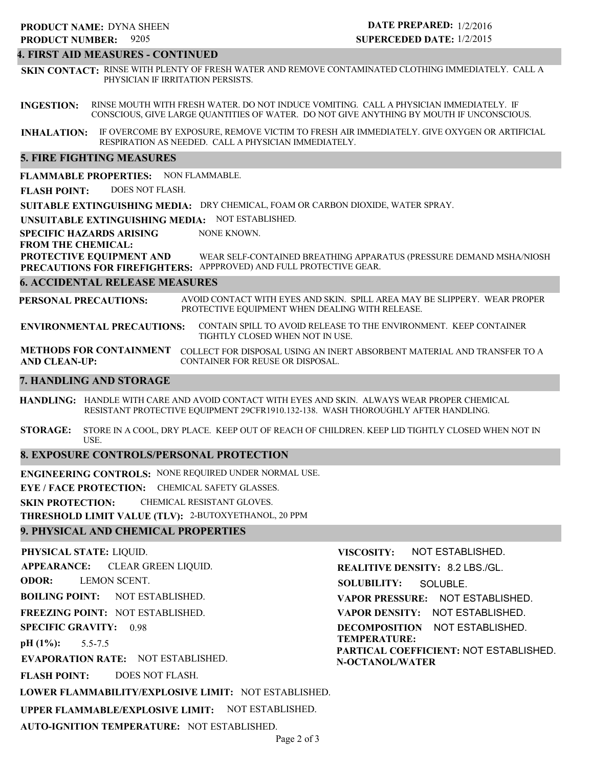#### **4. FIRST AID MEASURES - CONTINUED**

**SKIN CONTACT:** RINSE WITH PLENTY OF FRESH WATER AND REMOVE CONTAMINATED CLOTHING IMMEDIATELY. CALL A PHYSICIAN IF IRRITATION PERSISTS.

**INGESTION:** RINSE MOUTH WITH FRESH WATER. DO NOT INDUCE VOMITING. CALL A PHYSICIAN IMMEDIATELY. IF CONSCIOUS, GIVE LARGE QUANTITIES OF WATER. DO NOT GIVE ANYTHING BY MOUTH IF UNCONSCIOUS.

**INHALATION:** IF OVERCOME BY EXPOSURE, REMOVE VICTIM TO FRESH AIR IMMEDIATELY. GIVE OXYGEN OR ARTIFICIAL RESPIRATION AS NEEDED. CALL A PHYSICIAN IMMEDIATELY.

## **5. FIRE FIGHTING MEASURES**

**FLAMMABLE PROPERTIES:** NON FLAMMABLE.

**FLASH POINT:** DOES NOT FLASH.

**SUITABLE EXTINGUISHING MEDIA:** DRY CHEMICAL, FOAM OR CARBON DIOXIDE, WATER SPRAY.

**UNSUITABLE EXTINGUISHING MEDIA:** NOT ESTABLISHED.

**SPECIFIC HAZARDS ARISING** NONE KNOWN.

#### **FROM THE CHEMICAL:**

**PROTECTIVE EQUIPMENT AND PRECAUTIONS FOR FIREFIGHTERS:** APPPROVED) AND FULL PROTECTIVE GEAR. WEAR SELF-CONTAINED BREATHING APPARATUS (PRESSURE DEMAND MSHA/NIOSH

#### **6. ACCIDENTAL RELEASE MEASURES**

**PERSONAL PRECAUTIONS:** AVOID CONTACT WITH EYES AND SKIN. SPILL AREA MAY BE SLIPPERY. WEAR PROPER PROTECTIVE EQUIPMENT WHEN DEALING WITH RELEASE.

**ENVIRONMENTAL PRECAUTIONS:** CONTAIN SPILL TO AVOID RELEASE TO THE ENVIRONMENT. KEEP CONTAINER TIGHTLY CLOSED WHEN NOT IN USE.

**METHODS FOR CONTAINMENT** COLLECT FOR DISPOSAL USING AN INERT ABSORBENT MATERIAL AND TRANSFER TO A **AND CLEAN-UP:** CONTAINER FOR REUSE OR DISPOSAL.

## **7. HANDLING AND STORAGE**

**HANDLING:** HANDLE WITH CARE AND AVOID CONTACT WITH EYES AND SKIN. ALWAYS WEAR PROPER CHEMICAL RESISTANT PROTECTIVE EQUIPMENT 29CFR1910.132-138. WASH THOROUGHLY AFTER HANDLING.

**STORAGE:** STORE IN A COOL, DRY PLACE. KEEP OUT OF REACH OF CHILDREN. KEEP LID TIGHTLY CLOSED WHEN NOT IN USE.

## **8. EXPOSURE CONTROLS/PERSONAL PROTECTION**

**ENGINEERING CONTROLS:** NONE REQUIRED UNDER NORMAL USE.

**EYE / FACE PROTECTION:** CHEMICAL SAFETY GLASSES.

**SKIN PROTECTION:** CHEMICAL RESISTANT GLOVES.

**THRESHOLD LIMIT VALUE (TLV):** 2-BUTOXYETHANOL, 20 PPM

## **9. PHYSICAL AND CHEMICAL PROPERTIES**

**PHYSICAL STATE:** LIQUID. **APPEARANCE: ODOR: BOILING POINT:** NOT ESTABLISHED. **FREEZING POINT:** NOT ESTABLISHED. **SPECIFIC GRAVITY:** 0.98 **pH (1%): EVAPORATION RATE:** NOT ESTABLISHED. **FLASH POINT: LOWER FLAMMABILITY/EXPLOSIVE LIMIT:** NOT ESTABLISHED. **UPPER FLAMMABLE/EXPLOSIVE LIMIT:** NOT ESTABLISHED. 5.5-7.5 DOES NOT FLASH. CLEAR GREEN LIQUID. LEMON SCENT. **VISCOSITY: REALITIVE DENSITY:** 8.2 LBS./GL. **SOLUBILITY: VAPOR PRESSURE:** NOT ESTABLISHED. **VAPOR DENSITY:** NOT ESTABLISHED. **DECOMPOSITION** NOT ESTABLISHED. **TEMPERATURE: PARTICAL COEFFICIENT:** NOT ESTABLISHED. **N-OCTANOL/WATER** NOT ESTABLISHED. SOLUBLE.

**AUTO-IGNITION TEMPERATURE:** NOT ESTABLISHED.